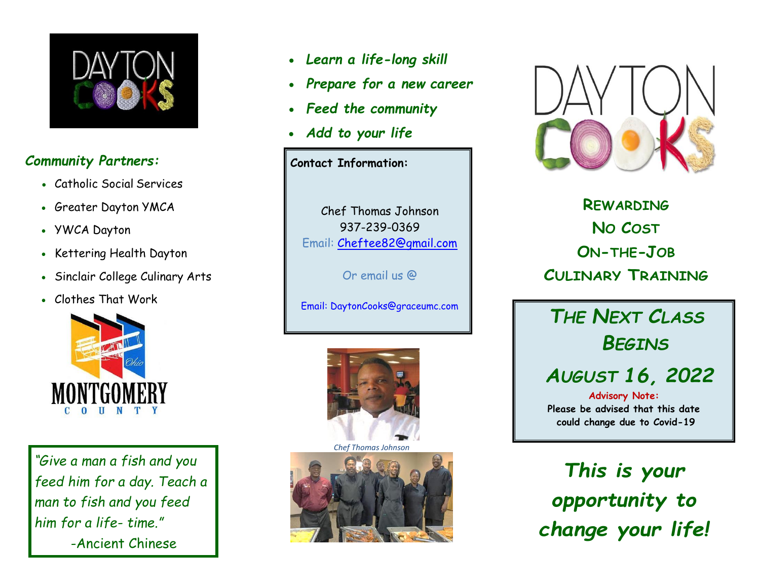

## *Community Partners:*

- Catholic Social Services
- Greater Dayton YMCA
- YWCA Dayton
- Kettering Health Dayton
- Sinclair College Culinary Arts
- Clothes That Work



*"Give a man a fish and you feed him for a day. Teach a man to fish and you feed him for a life- time."* -Ancient Chinese

Proverb

- *Learn a life-long skill*
- *Prepare for a new career*
- *Feed the community*
- *Add to your life*

**Contact Information:**

Chef Thomas Johnson 937-239-0369 Email: [Cheftee82@gmail.com](mailto:Cheftee82@gmail.com)

Or email us @



*Chef Thomas Johnson*





**REWARDING NO COST ON-THE-JOB CULINARY TRAINING**

Email: DaytonCooks@graceumc.com *THE NEXT CLASS BEGINS*

## *AUGUST 16, 2022*

**Advisory Note: Please be advised that this date could change due to Covid-19**

*This is your opportunity to change your life!*